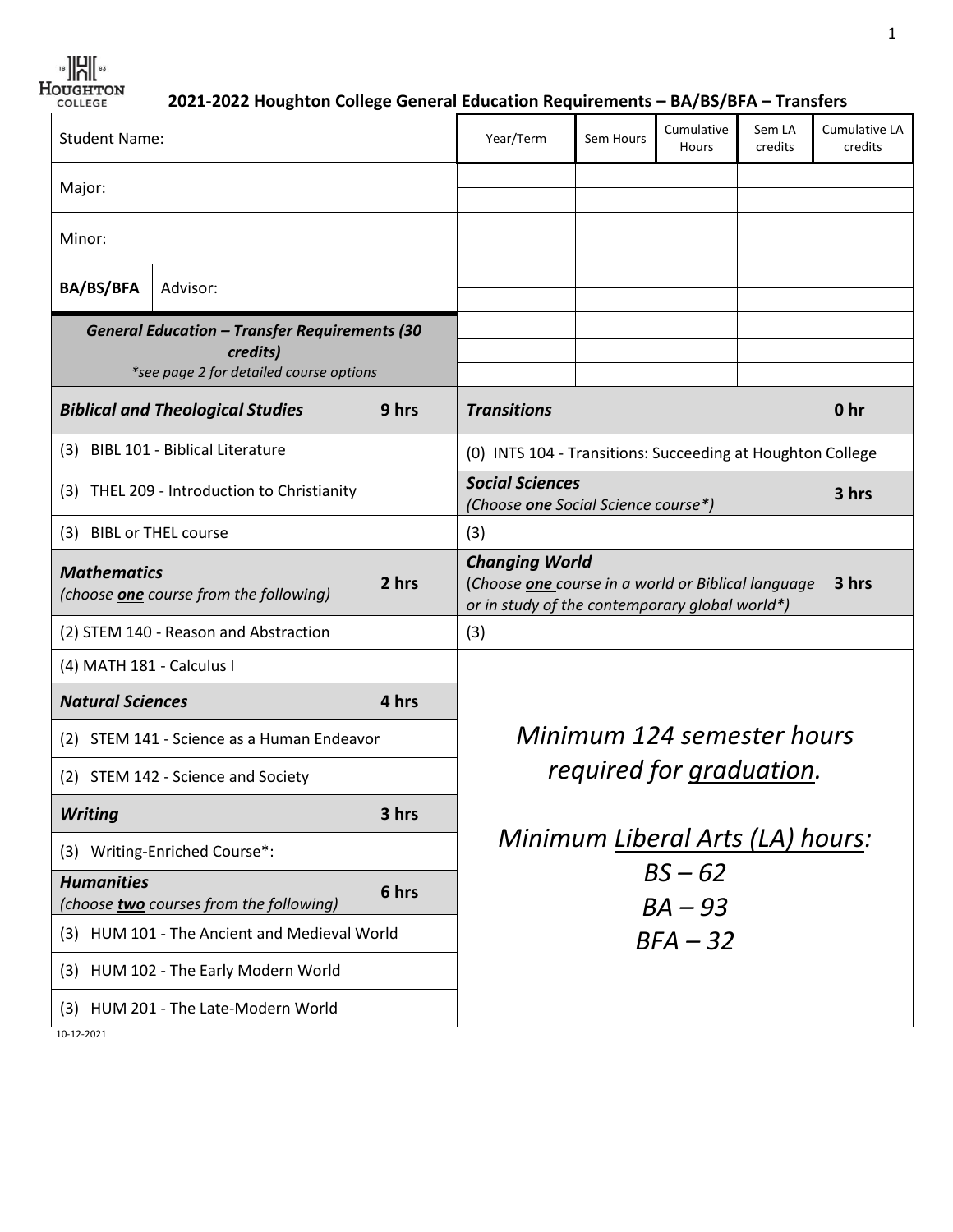**2021-2022 Houghton College General Education Requirements – BA/BS/BFA – Transfers**

|                                                                       |                                                                             | credits                                                                                                                                                                                                                                                          |
|-----------------------------------------------------------------------|-----------------------------------------------------------------------------|------------------------------------------------------------------------------------------------------------------------------------------------------------------------------------------------------------------------------------------------------------------|
|                                                                       |                                                                             |                                                                                                                                                                                                                                                                  |
|                                                                       |                                                                             |                                                                                                                                                                                                                                                                  |
|                                                                       |                                                                             |                                                                                                                                                                                                                                                                  |
|                                                                       |                                                                             |                                                                                                                                                                                                                                                                  |
|                                                                       |                                                                             | 0 <sub>hr</sub>                                                                                                                                                                                                                                                  |
|                                                                       |                                                                             |                                                                                                                                                                                                                                                                  |
|                                                                       |                                                                             | 3 hrs                                                                                                                                                                                                                                                            |
|                                                                       |                                                                             |                                                                                                                                                                                                                                                                  |
|                                                                       |                                                                             | 3 hrs                                                                                                                                                                                                                                                            |
|                                                                       |                                                                             |                                                                                                                                                                                                                                                                  |
|                                                                       |                                                                             |                                                                                                                                                                                                                                                                  |
|                                                                       |                                                                             |                                                                                                                                                                                                                                                                  |
|                                                                       |                                                                             |                                                                                                                                                                                                                                                                  |
|                                                                       |                                                                             |                                                                                                                                                                                                                                                                  |
|                                                                       |                                                                             |                                                                                                                                                                                                                                                                  |
|                                                                       |                                                                             |                                                                                                                                                                                                                                                                  |
|                                                                       |                                                                             |                                                                                                                                                                                                                                                                  |
|                                                                       |                                                                             |                                                                                                                                                                                                                                                                  |
|                                                                       |                                                                             |                                                                                                                                                                                                                                                                  |
|                                                                       |                                                                             |                                                                                                                                                                                                                                                                  |
| <b>Transitions</b><br><b>Social Sciences</b><br><b>Changing World</b> | (Choose one Social Science course*)<br>$BS - 62$<br>$BA - 93$<br>$BFA - 32$ | (0) INTS 104 - Transitions: Succeeding at Houghton College<br>(Choose one course in a world or Biblical language<br>or in study of the contemporary global world*)<br>Minimum 124 semester hours<br>required for graduation.<br>Minimum Liberal Arts (LA) hours: |

1